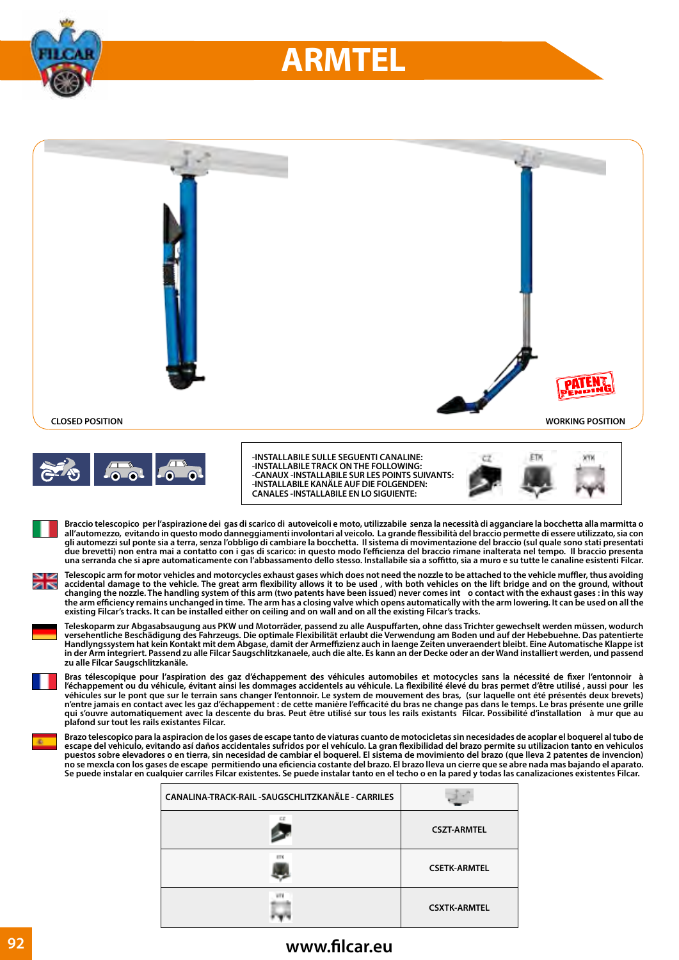

## **ARMTEL**



### **92 www.filcar.eu**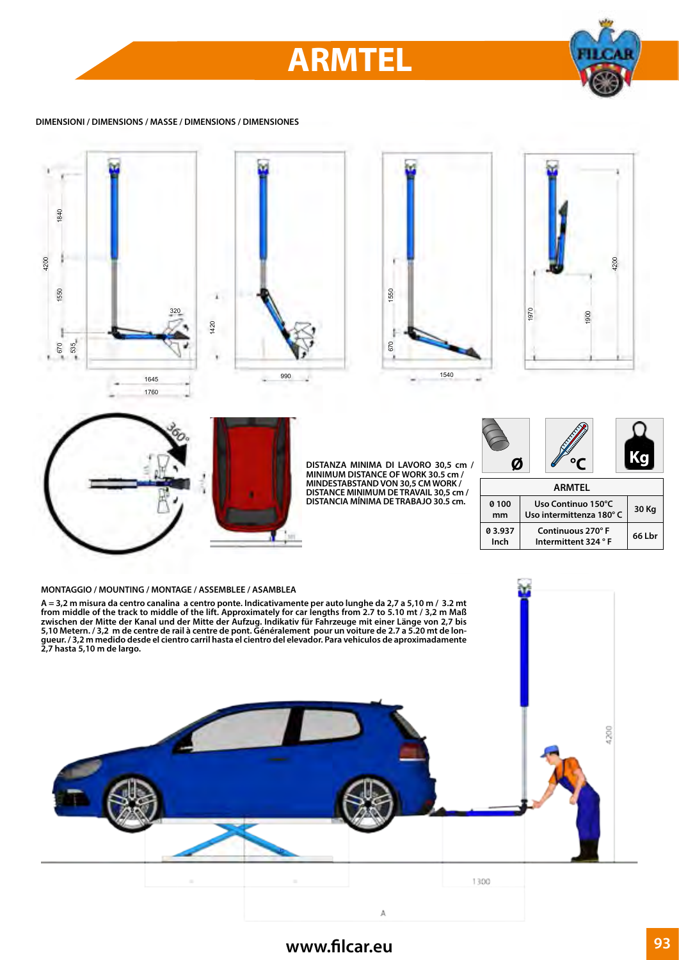# **ARMTEL**

#### **DIMENSIONI / DIMENSIONS / MASSE / DIMENSIONS / DIMENSIONES**











**MINIMUM DISTANCE OF WORK 30.5 cm / MINDESTABSTAND VON 30,5 CM WORK / DISTANCE MINIMUM DE TRAVAIL 30,5 cm / DISTANCIA MÍNIMA DE TRABAJO 30.5 cm.**

| DISTANZA MINIMA DI LAVORO 30.5 cm /<br>MINIMUM DISTANCE OF WORK 30.5 cm /  |               |  |
|----------------------------------------------------------------------------|---------------|--|
| MINDESTABSTAND VON 30,5 CM WORK /<br>DISTANCE MINIMUM DE TRAVAIL 30.5 cm / | <b>ARMTEL</b> |  |
| _ .___                                                                     |               |  |

| 0100<br>mm     | Uso Continuo 150°C<br>Uso intermittenza 180°C | 30 Kg  |
|----------------|-----------------------------------------------|--------|
| 03.937<br>Inch | Continuous 270° F<br>Intermittent 324 °F      | 66 Lbr |

#### **MONTAGGIO / MOUNTING / MONTAGE / ASSEMBLEE / ASAMBLEA**

**A = 3,2 m misura da centro canalina a centro ponte. Indicativamente per auto lunghe da 2,7 a 5,10 m / 3.2 mt from middle of the track to middle of the lift. Approximately for car lengths from 2.7 to 5.10 mt / 3,2 m Maß zwischen der Mitte der Kanal und der Mitte der Aufzug. Indikativ für Fahrzeuge mit einer Länge von 2,7 bis 5,10 Metern. / 3,2 m de centre de rail à centre de pont. Généralement pour un voiture de 2.7 a 5.20 mt de longueur. / 3,2 m medido desde el cientro carril hasta el cientro del elevador. Para vehiculos de aproximadamente 2,7 hasta 5,10 m de largo.**

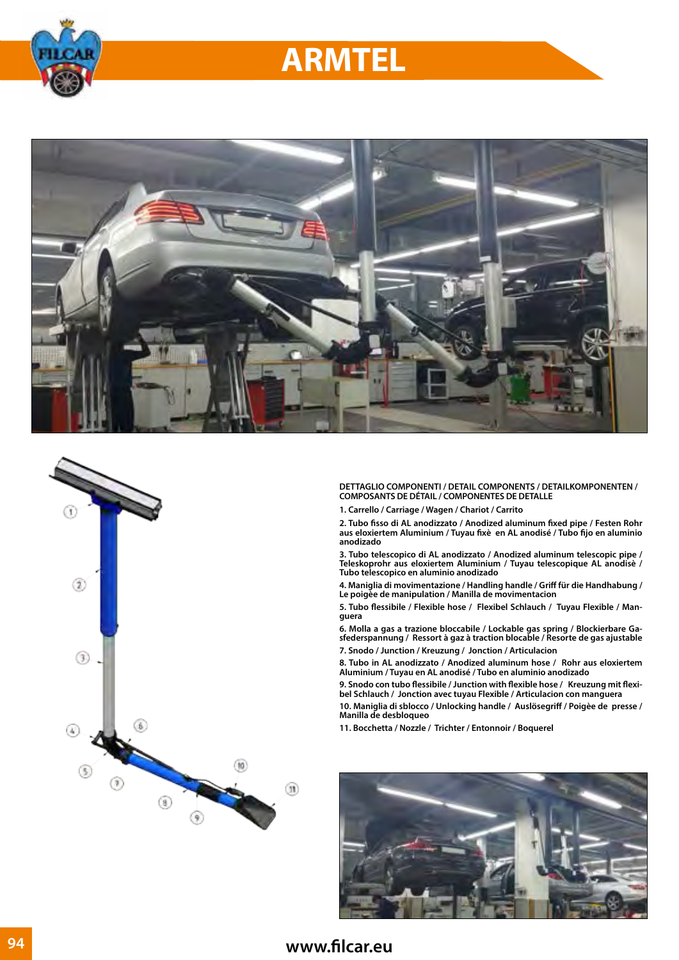

## **ARMTEL**





**DETTAGLIO COMPONENTI / DETAIL COMPONENTS / DETAILKOMPONENTEN / COMPOSANTS DE DÉTAIL / COMPONENTES DE DETALLE**

**1. Carrello / Carriage / Wagen / Chariot / Carrito**

**2. Tubo fisso di AL anodizzato / Anodized aluminum fixed pipe / Festen Rohr aus eloxiertem Aluminium / Tuyau fixè en AL anodisé / Tubo fijo en aluminio anodizado**

**3. Tubo telescopico di AL anodizzato / Anodized aluminum telescopic pipe / Teleskoprohr aus eloxiertem Aluminium / Tuyau telescopique AL anodisè / Tubo telescopico en aluminio anodizado**

**4. Maniglia di movimentazione / Handling handle / Griff für die Handhabung / Le poigèe de manipulation / Manilla de movimentacion**

**5. Tubo flessibile / Flexible hose / Flexibel Schlauch / Tuyau Flexible / Manguera**

**6. Molla a gas a trazione bloccabile / Lockable gas spring / Blockierbare Gasfederspannung / Ressort à gaz à traction blocable / Resorte de gas ajustable**

**7. Snodo / Junction / Kreuzung / Jonction / Articulacion**

**8. Tubo in AL anodizzato / Anodized aluminum hose / Rohr aus eloxiertem Aluminium / Tuyau en AL anodisé / Tubo en aluminio anodizado**

**9. Snodo con tubo flessibile / Junction with flexible hose / Kreuzung mit flexibel Schlauch / Jonction avec tuyau Flexible / Articulacion con manguera**

**10. Maniglia di sblocco / Unlocking handle / Auslösegriff / Poigèe de presse / Manilla de desbloqueo**

**11. Bocchetta / Nozzle / Trichter / Entonnoir / Boquerel**



### **94 www.filcar.eu**